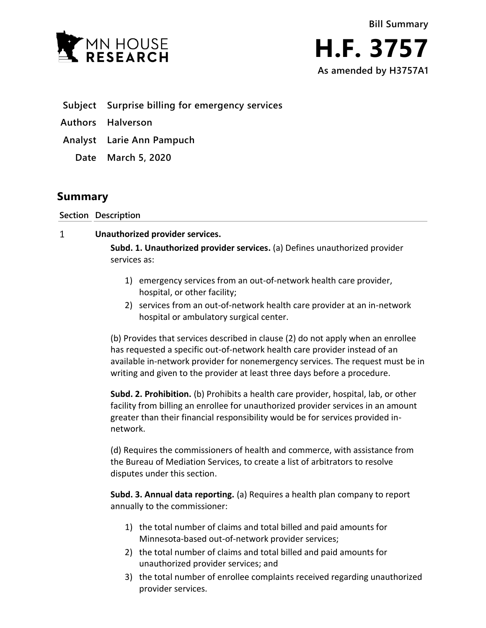



- **Subject Surprise billing for emergency services**
- **Authors Halverson**
- **Analyst Larie Ann Pampuch**
	- **Date March 5, 2020**

## **Summary**

**Section Description**

 $\mathbf{1}$ **Unauthorized provider services.**

> **Subd. 1. Unauthorized provider services.** (a) Defines unauthorized provider services as:

- 1) emergency services from an out-of-network health care provider, hospital, or other facility;
- 2) services from an out-of-network health care provider at an in-network hospital or ambulatory surgical center.

(b) Provides that services described in clause (2) do not apply when an enrollee has requested a specific out-of-network health care provider instead of an available in-network provider for nonemergency services. The request must be in writing and given to the provider at least three days before a procedure.

**Subd. 2. Prohibition.** (b) Prohibits a health care provider, hospital, lab, or other facility from billing an enrollee for unauthorized provider services in an amount greater than their financial responsibility would be for services provided innetwork.

(d) Requires the commissioners of health and commerce, with assistance from the Bureau of Mediation Services, to create a list of arbitrators to resolve disputes under this section.

**Subd. 3. Annual data reporting.** (a) Requires a health plan company to report annually to the commissioner:

- 1) the total number of claims and total billed and paid amounts for Minnesota-based out-of-network provider services;
- 2) the total number of claims and total billed and paid amounts for unauthorized provider services; and
- 3) the total number of enrollee complaints received regarding unauthorized provider services.